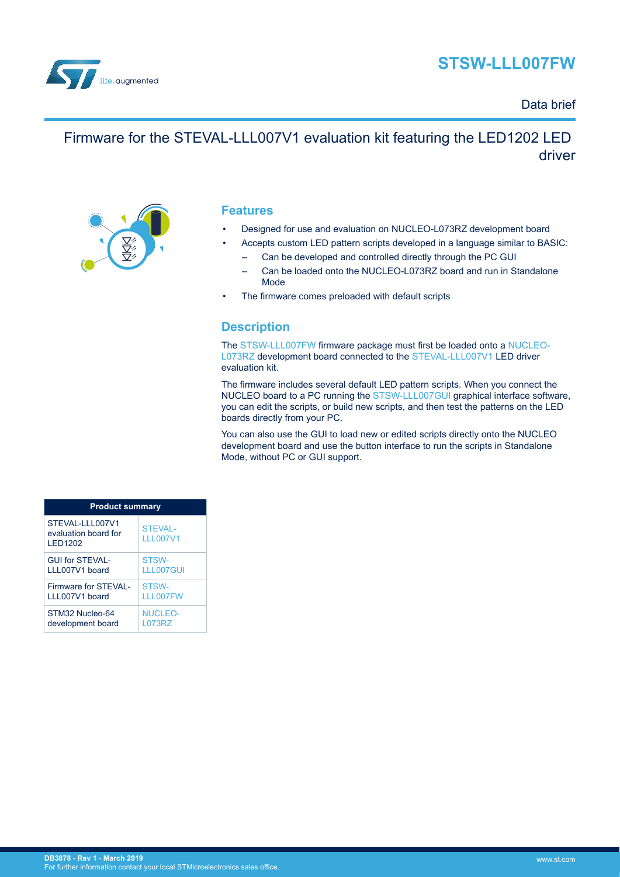



### Data brief

# Firmware for the STEVAL-LLL007V1 evaluation kit featuring the LED1202 LED driver



### **Features**

- Designed for use and evaluation on NUCLEO-L073RZ development board
- Accepts custom LED pattern scripts developed in a language similar to BASIC:
	- Can be developed and controlled directly through the PC GUI
	- Can be loaded onto the NUCLEO-L073RZ board and run in Standalone Mode
- The firmware comes preloaded with default scripts

## **Description**

The [STSW-LLL007FW](https://www.st.com/en/product/stsw-lll007fw) firmware package must first be loaded onto a [NUCLEO-](https://www.st.com/en/product/nucleo-l073rz)[L073RZ](https://www.st.com/en/product/nucleo-l073rz) development board connected to the [STEVAL-LLL007V1](https://www.st.com/en/product/steval-lll007v1) LED driver evaluation kit.

The firmware includes several default LED pattern scripts. When you connect the NUCLEO board to a PC running the [STSW-LLL007GUI](https://www.st.com/en/product/stsw-lll007gui) graphical interface software, you can edit the scripts, or build new scripts, and then test the patterns on the LED boards directly from your PC.

You can also use the GUI to load new or edited scripts directly onto the NUCLEO development board and use the button interface to run the scripts in Standalone Mode, without PC or GUI support.

| <b>Product summary</b>                                    |                            |  |
|-----------------------------------------------------------|----------------------------|--|
| STEVAL-LLL007V1<br>evaluation board for<br><b>LED1202</b> | STFVAI-<br><b>III007V1</b> |  |
| <b>GUI for STEVAL-</b>                                    | STSW-                      |  |
| 111007V1 board                                            | LLL007GUI                  |  |
| Firmware for STFVAI -                                     | STSW-                      |  |
| 111007V1 board                                            | <b>III007FW</b>            |  |
| STM32 Nucleo-64                                           | <b>NUCLEO-</b>             |  |
| development board                                         | <b>L073RZ</b>              |  |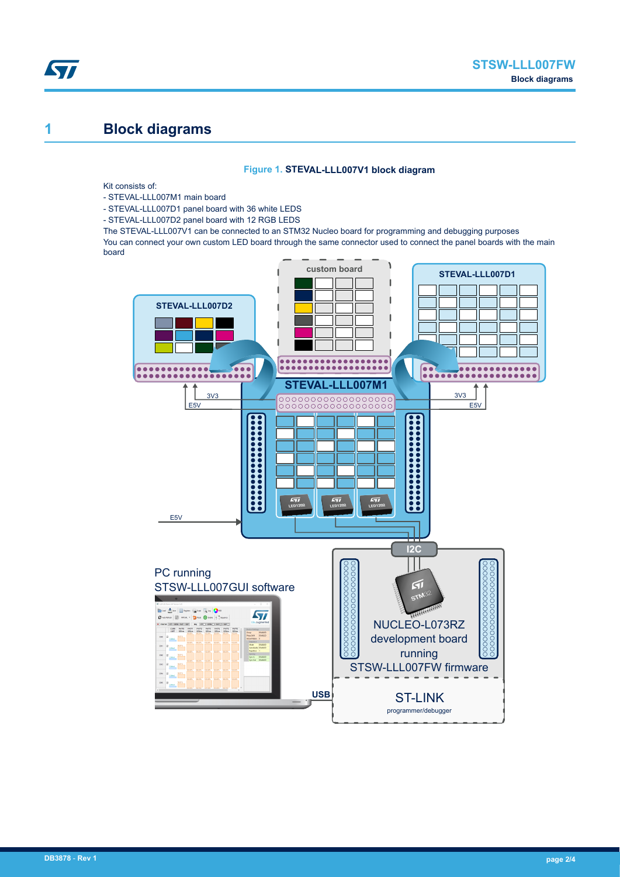# **1 Block diagrams**

ST

#### **Figure 1. STEVAL-LLL007V1 block diagram**

Kit consists of:

- STEVAL-LLL007M1 main board
- STEVAL-LLL007D1 panel board with 36 white LEDS
- STEVAL-LLL007D2 panel board with 12 RGB LEDS

The STEVAL-LLL007V1 can be connected to an STM32 Nucleo board for programming and debugging purposes You can connect your own custom LED board through the same connector used to connect the panel boards with the main board

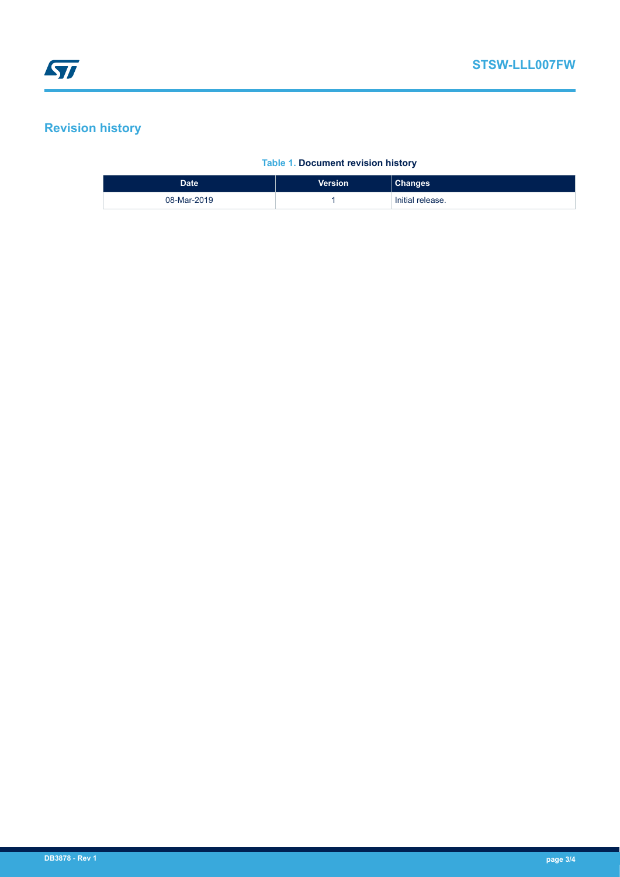## **Revision history**

#### **Table 1. Document revision history**

| <b>Date</b> | <b>Version</b> | <b>Changes</b>   |
|-------------|----------------|------------------|
| 08-Mar-2019 |                | Initial release. |